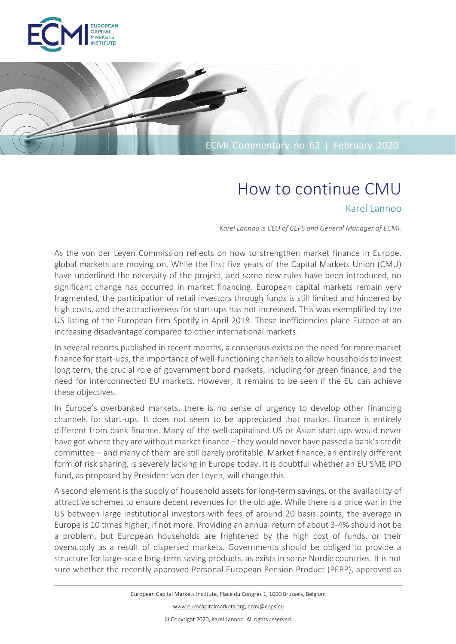

# ECMI Commentary no 62 | February 2020

# How to continue CMU

## Karel Lannoo

*Karel Lannoo is CEO of CEPS and General Manager of ECMI.*

As the von der Leyen Commission reflects on how to strengthen market finance in Europe, global markets are moving on. While the first five years of the Capital Markets Union (CMU) have underlined the necessity of the project, and some new rules have been introduced, no significant change has occurred in market financing. European capital markets remain very fragmented, the participation of retail investors through funds is still limited and hindered by high costs, and the attractiveness for start-ups has not increased. This was exemplified by the US listing of the European firm Spotify in April 2018. These inefficiencies place Europe at an increasing disadvantage compared to other international markets.

In several reports published in recent months, a consensus exists on the need for more market finance for start-ups, the importance of well-functioning channels to allow households to invest long term, the crucial role of government bond markets, including for green finance, and the need for interconnected EU markets. However, it remains to be seen if the EU can achieve these objectives.

In Europe's overbanked markets, there is no sense of urgency to develop other financing channels for start-ups. It does not seem to be appreciated that market finance is entirely different from bank finance. Many of the well-capitalised US or Asian start-ups would never have got where they are without market finance – they would never have passed a bank's credit committee – and many of them are still barely profitable. Market finance, an entirely different form of risk sharing, is severely lacking in Europe today. It is doubtful whether an EU SME IPO fund, as proposed by President von der Leyen, will change this.

A second element is the supply of household assets for long-term savings, or the availability of attractive schemes to ensure decent revenues for the old age. While there is a price war in the US between large institutional investors with fees of around 20 basis points, the average in Europe is 10 times higher, if not more. Providing an annual return of about 3-4% should not be a problem, but European households are frightened by the high cost of funds, or their oversupply as a result of dispersed markets. Governments should be obliged to provide a structure for large-scale long-term saving products, as exists in some Nordic countries. It is not sure whether the recently approved Personal European Pension Product (PEPP), approved as

© Copyright 2020, Karel Lannoo. All rights reserved.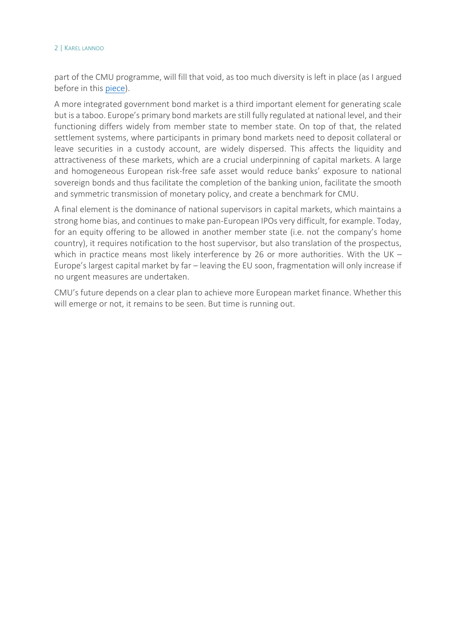#### 2 | KAREL LANNOO

part of the CMU programme, will fill that void, as too much diversity is left in place (as I argued before in this [piece\)](https://www.ceps.eu/system/files/Ceci%20n%27est%20pas%20un%20PEPP.pdf).

A more integrated government bond market is a third important element for generating scale but is a taboo. Europe's primary bond markets are still fully regulated at national level, and their functioning differs widely from member state to member state. On top of that, the related settlement systems, where participants in primary bond markets need to deposit collateral or leave securities in a custody account, are widely dispersed. This affects the liquidity and attractiveness of these markets, which are a crucial underpinning of capital markets. A large and homogeneous European risk-free safe asset would reduce banks' exposure to national sovereign bonds and thus facilitate the completion of the banking union, facilitate the smooth and symmetric transmission of monetary policy, and create a benchmark for CMU.

A final element is the dominance of national supervisors in capital markets, which maintains a strong home bias, and continues to make pan-European IPOs very difficult, for example. Today, for an equity offering to be allowed in another member state (i.e. not the company's home country), it requires notification to the host supervisor, but also translation of the prospectus, which in practice means most likely interference by 26 or more authorities. With the UK -Europe's largest capital market by far – leaving the EU soon, fragmentation will only increase if no urgent measures are undertaken.

CMU's future depends on a clear plan to achieve more European market finance. Whether this will emerge or not, it remains to be seen. But time is running out.